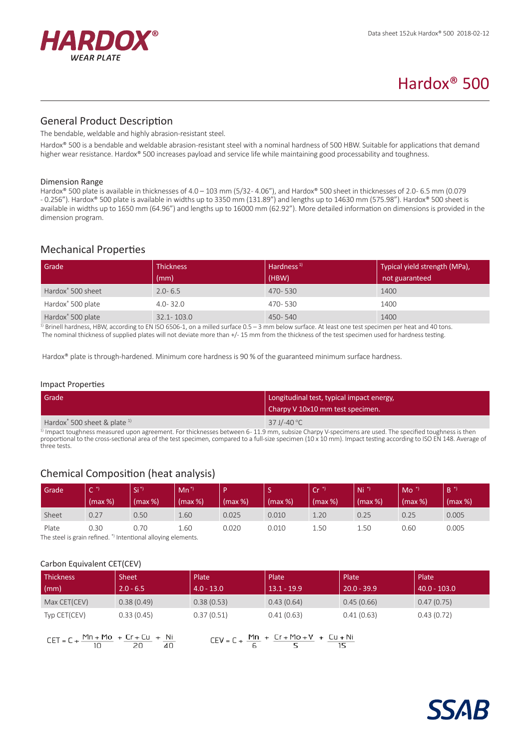

# Hardox® 500

## General Product Description

The bendable, weldable and highly abrasion-resistant steel.

Hardox® 500 is a bendable and weldable abrasion-resistant steel with a nominal hardness of 500 HBW. Suitable for applications that demand higher wear resistance. Hardox® 500 increases payload and service life while maintaining good processability and toughness.

#### Dimension Range

Hardox® 500 plate is available in thicknesses of 4.0 – 103 mm (5/32- 4.06"), and Hardox® 500 sheet in thicknesses of 2.0- 6.5 mm (0.079 - 0.256"). Hardox® 500 plate is available in widths up to 3350 mm (131.89") and lengths up to 14630 mm (575.98"). Hardox® 500 sheet is available in widths up to 1650 mm (64.96") and lengths up to 16000 mm (62.92"). More detailed information on dimensions is provided in the dimension program.

## Mechanical Properties

| Grade                         | <b>Thickness</b> | Hardness <sup>1)</sup> | Typical yield strength (MPa), |
|-------------------------------|------------------|------------------------|-------------------------------|
|                               | (mm)             | (HBW)                  | not guaranteed                |
| Hardox <sup>®</sup> 500 sheet | $2.0 - 6.5$      | 470-530                | 1400                          |
| Hardox <sup>®</sup> 500 plate | $4.0 - 32.0$     | 470-530                | 1400                          |
| Hardox <sup>®</sup> 500 plate | $32.1 - 103.0$   | 450-540                | 1400                          |

 $1)$  Brinell hardness, HBW, according to EN ISO 6506-1, on a milled surface 0.5 – 3 mm below surface. At least one test specimen per heat and 40 tons. The nominal thickness of supplied plates will not deviate more than +/- 15 mm from the thickness of the test specimen used for hardness testing.

Hardox® plate is through-hardened. Minimum core hardness is 90 % of the guaranteed minimum surface hardness.

#### Impact Properties

| Grade                                                  | Longitudinal test, typical impact energy,<br>Charpy V 10x10 mm test specimen. |
|--------------------------------------------------------|-------------------------------------------------------------------------------|
| Hardox <sup>®</sup> 500 sheet & plate $1$ <sup>1</sup> | 37 J/-40 °C                                                                   |

1) Impact toughness measured upon agreement. For thicknesses between 6-11.9 mm, subsize Charpy V-specimens are used. The specified toughness is then proportional to the cross-sectional area of the test specimen, compared to a full-size specimen (10 x 10 mm). Impact testing according to ISO EN 148. Average of three tests.

# Chemical Composition (heat analysis)

| Grade | -<br>$\tilde{\phantom{a}}$ | 'Si     | $Mn^*$  |         | -<br>-  | / Cr /  | Ni <sup>2</sup> | Mo      | R       |
|-------|----------------------------|---------|---------|---------|---------|---------|-----------------|---------|---------|
|       | (max %)                    | (max %) | (max %) | (max %) | (max %) | (max %) | $(max %)$       | (max %) | (max %) |
| Sheet | 0.27                       | 0.50    | 1.60    | 0.025   | 0.010   | 1.20    | 0.25            | 0.25    | 0.005   |
| Plate | 0.30                       | 0.70    | 1.60    | 0.020   | 0.010   | 1.50    | 1.50            | 0.60    | 0.005   |

The steel is grain refined. \*) Intentional alloying elements.

#### Carbon Equivalent CET(CEV)

| Thickness    | <b>Sheet</b> | Plate        | Plate         | Plate         | Plate            |
|--------------|--------------|--------------|---------------|---------------|------------------|
| $\mid$ (mm)  | $2.0 - 6.5$  | $4.0 - 13.0$ | $13.1 - 19.9$ | $20.0 - 39.9$ | $ 40.0 - 103.0 $ |
| Max CET(CEV) | 0.38(0.49)   | 0.38(0.53)   | 0.43(0.64)    | 0.45(0.66)    | 0.47(0.75)       |
| Typ CET(CEV) | 0.33(0.45)   | 0.37(0.51)   | 0.41(0.63)    | 0.41(0.63)    | 0.43(0.72)       |

| $CET = C + \frac{Mn + Mo}{m} + Cr + Cu + Nu$ |    |      |      |  |
|----------------------------------------------|----|------|------|--|
|                                              | 10 | - 20 | - 40 |  |

 $CEV = C + \frac{Mn}{6} + \frac{Cr + Mo + V}{5} + \frac{Cu + Ni}{15}$